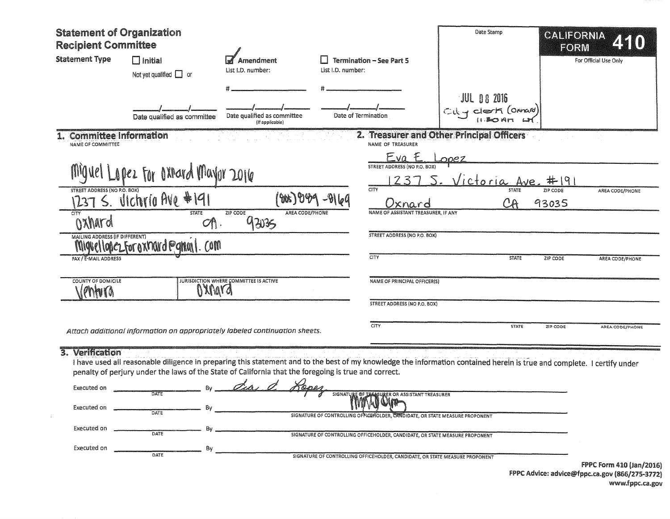| <b>Statement of Organization</b><br><b>Recipient Committee</b> |                                               |                                                                                                                                                                                                                                                                                         |                   |                                                                               | Date Stamp                                |                          | <b>GALIFORNIA</b><br>ZSK0)<br>FORM                                         |
|----------------------------------------------------------------|-----------------------------------------------|-----------------------------------------------------------------------------------------------------------------------------------------------------------------------------------------------------------------------------------------------------------------------------------------|-------------------|-------------------------------------------------------------------------------|-------------------------------------------|--------------------------|----------------------------------------------------------------------------|
| <b>Statement Type</b>                                          | $\Box$ Initial<br>Not yet qualified $\Box$ or | Amendment<br>List I.D. number:                                                                                                                                                                                                                                                          | List I.D. number: | <b>Termination - See Part 5</b>                                               |                                           |                          | For Official Use Only                                                      |
|                                                                | Date qualified as committee                   | Date qualified as committee<br>(If applicable)                                                                                                                                                                                                                                          |                   | Date of Termination                                                           | JUL 06 2016<br>City Clerk (Oxnard)        |                          |                                                                            |
| <b>Committee Information</b><br>NAME OF COMMITTEE              |                                               |                                                                                                                                                                                                                                                                                         |                   | NAME OF TREASURER                                                             | 2. Treasurer and Other Principal Officers |                          |                                                                            |
|                                                                | Miguel Lopez For oxrard Mayor 2016            |                                                                                                                                                                                                                                                                                         |                   | Eva<br>STREET ADDRESS (NO P.O. BOX)                                           | nnez<br><u>Victoria Ave.</u>              | #  9                     |                                                                            |
| STREET ADDRESS (NO P.O. BOX)                                   | 1237 S. Vichria Ave #191                      |                                                                                                                                                                                                                                                                                         |                   | CITY<br>xnard                                                                 |                                           | ZIP CODE<br>CA<br>93035  | AREA CODE/PHONE                                                            |
| <b>CITY</b><br>Oxhard                                          | <b>STATE</b><br>O(1)                          | ZIP CODE<br>AREA CODE/PHONE<br>93035                                                                                                                                                                                                                                                    |                   | NAME OF ASSISTANT TREASURER, IF ANY                                           |                                           |                          |                                                                            |
| <b>MAILING ADDRESS (IF DIFFERENT)</b>                          | Miguellopez.For oxnard @gmail.com             |                                                                                                                                                                                                                                                                                         |                   | <b>STREET ADDRESS (NO P.O. BOX)</b>                                           |                                           |                          |                                                                            |
| FAX / E-MAIL ADDRESS                                           |                                               |                                                                                                                                                                                                                                                                                         |                   | CITY                                                                          |                                           | <b>STATE</b><br>ZIP CODE | AREA CODE/PHONE                                                            |
| COUNTY OF DOMICILE<br>roma                                     |                                               | <b>JURISDICTION WHERE COMMITTEE IS ACTIVE</b><br>OXNara                                                                                                                                                                                                                                 |                   | NAME OF PRINCIPAL OFFICER(S)                                                  |                                           |                          |                                                                            |
|                                                                |                                               |                                                                                                                                                                                                                                                                                         |                   | STREET ADDRESS (NO P.O. BOX)                                                  |                                           |                          |                                                                            |
|                                                                |                                               | Attach additional information on appropriately labeled continuation sheets.                                                                                                                                                                                                             |                   | <b>CITY</b>                                                                   |                                           | <b>STATE</b><br>ZIP CODE | AREA CODE/PHONE                                                            |
| 3. Verification<br>Executed on                                 | DATE                                          | I have used all reasonable diligence in preparing this statement and to the best of my knowledge the information contained herein is true and complete. I certify under<br>penalty of perjury under the laws of the State of California that the foregoing is true and correct.<br>Di p |                   | SIGNATURE OF THE SULER OR ASSISTANT TREASURER                                 |                                           |                          |                                                                            |
| Executed on                                                    | DATE                                          |                                                                                                                                                                                                                                                                                         |                   | SIGNATURE OF CONTROLLING OFFICER OLDER, CANDIDATE, OR STATE MEASURE PROPONENT |                                           |                          |                                                                            |
| Executed on                                                    | DATE                                          |                                                                                                                                                                                                                                                                                         |                   | SIGNATURE OF CONTROLLING OFFICEHOLDER, CANDIDATE, OR STATE MEASURE PROPONENT  |                                           |                          |                                                                            |
| Executed on                                                    | B٧<br>DATE                                    |                                                                                                                                                                                                                                                                                         |                   | SIGNATURE OF CONTROLLING OFFICEHOLDER, CANDIDATE, OR STATE MEASURE PROPONENT  |                                           |                          |                                                                            |
|                                                                |                                               |                                                                                                                                                                                                                                                                                         |                   |                                                                               |                                           |                          | FPPC Form 410 (Jan/2016)<br>FPPC Advice: advice@fppc.ca.gov (866/275-3772) |

|  | www.fppc.ca.gov |
|--|-----------------|
|--|-----------------|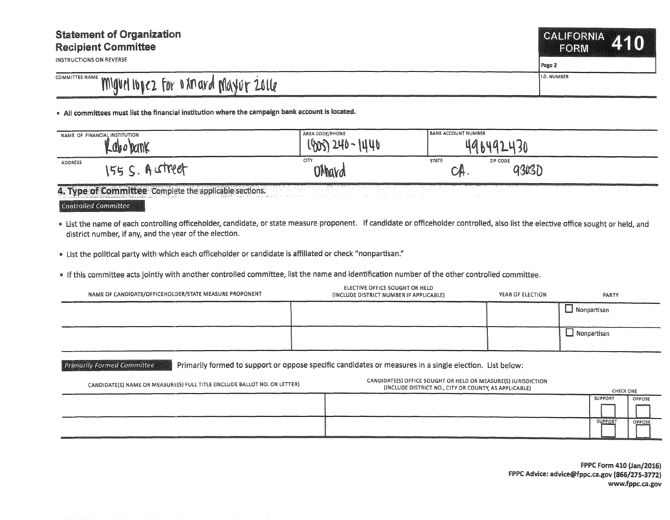## Statement of Organization Recipient Committee

INSTRUCTIONS ON REVERSE

## COMMITTEE NAME MIGUEL IGOCZ FOR O XM ARD MAYUT 2016

• A.II committees must list the financial institution where the campaign bank account is located.

| NAME OF FINANCIAL INSTITUTION |              | AREA CODE/PHONE       | <b>BANK ACCOUNT NUMBER</b>                  |
|-------------------------------|--------------|-----------------------|---------------------------------------------|
| t M                           | Kabo Dank    | JUh<br>$l_{\text{W}}$ | $\mathcal{U}$                               |
| ADDRESS                       | treet<br>155 | CITY<br><b>OMard</b>  | <b>STATE</b><br>ZIP CODE<br>93030<br>⊷.<br> |

4. Type of Committee Complete the applicable sections.

Controlled Committee

. List the name of each controlling officeholder, candidate, or state measure proponent. If candidate or officeholder controlled, also list the elective office sought or held, and district number, if any, and the year of the election.

"' List the political party with which each officeholder or candidate is affiliated or check "nonpartisan."

• If this committee acts jointly with another controlled committee, list the name and identification number of the other controlled committee.

| NAME OF CANDIDATE/OFFICEHOLDER/STATE MEASURE PROPONENT | ELECTIVE OFFICE SOUGHT OR HELD<br>(INCLUDE DISTRICT NUMBER IF APPLICABLE) | YEAR OF ELECTION | PARTY         |
|--------------------------------------------------------|---------------------------------------------------------------------------|------------------|---------------|
|                                                        |                                                                           |                  | ∟ Nonpartisan |
|                                                        |                                                                           |                  | Nonpartisan   |

**Primarily Formed Committee Primarily formed to support or oppose specific candidates or measures in a single election. List below:** 

| CANDIDATE(S) NAME OR MEASURE(S) FULL TITLE (INCLUDE BALLOT NO. OR LETTER) | CANDIDATE(S) OFFICE SOUGHT OR HELD OR MEASURE(S) JURISDICTION<br>(INCLUDE DISTRICT NO., CITY OR COUNTY, AS APPLICABLE) | CHECK ONE      |        |
|---------------------------------------------------------------------------|------------------------------------------------------------------------------------------------------------------------|----------------|--------|
|                                                                           |                                                                                                                        | SUPPORT        | OPPOSE |
|                                                                           |                                                                                                                        |                |        |
|                                                                           |                                                                                                                        | <b>SUPPORT</b> | OPPOSE |

CALIFORNIA

FORM

Page 2

74510